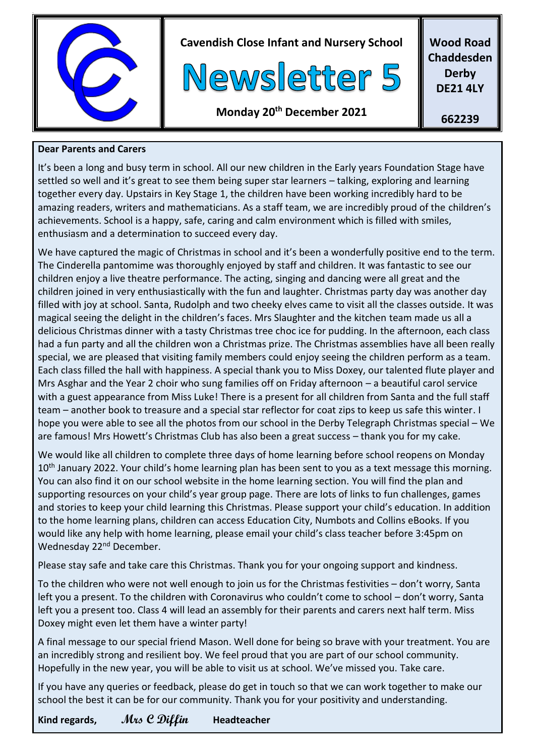

**Cavendish Close Infant and Nursery School**



**Wood Road Chaddesden Derby DE21 4LY**

**Monday 20th December 2021**

#### **662239**

#### **Dear Parents and Carers**

It's been a long and busy term in school. All our new children in the Early years Foundation Stage have settled so well and it's great to see them being super star learners – talking, exploring and learning together every day. Upstairs in Key Stage 1, the children have been working incredibly hard to be amazing readers, writers and mathematicians. As a staff team, we are incredibly proud of the children's achievements. School is a happy, safe, caring and calm environment which is filled with smiles, enthusiasm and a determination to succeed every day.

We have captured the magic of Christmas in school and it's been a wonderfully positive end to the term. The Cinderella pantomime was thoroughly enjoyed by staff and children. It was fantastic to see our children enjoy a live theatre performance. The acting, singing and dancing were all great and the children joined in very enthusiastically with the fun and laughter. Christmas party day was another day filled with joy at school. Santa, Rudolph and two cheeky elves came to visit all the classes outside. It was magical seeing the delight in the children's faces. Mrs Slaughter and the kitchen team made us all a delicious Christmas dinner with a tasty Christmas tree choc ice for pudding. In the afternoon, each class had a fun party and all the children won a Christmas prize. The Christmas assemblies have all been really special, we are pleased that visiting family members could enjoy seeing the children perform as a team. Each class filled the hall with happiness. A special thank you to Miss Doxey, our talented flute player and Mrs Asghar and the Year 2 choir who sung families off on Friday afternoon – a beautiful carol service with a guest appearance from Miss Luke! There is a present for all children from Santa and the full staff team – another book to treasure and a special star reflector for coat zips to keep us safe this winter. I hope you were able to see all the photos from our school in the Derby Telegraph Christmas special – We are famous! Mrs Howett's Christmas Club has also been a great success – thank you for my cake.

We would like all children to complete three days of home learning before school reopens on Monday 10<sup>th</sup> January 2022. Your child's home learning plan has been sent to you as a text message this morning. You can also find it on our school website in the home learning section. You will find the plan and supporting resources on your child's year group page. There are lots of links to fun challenges, games and stories to keep your child learning this Christmas. Please support your child's education. In addition to the home learning plans, children can access Education City, Numbots and Collins eBooks. If you would like any help with home learning, please email your child's class teacher before 3:45pm on Wednesday 22<sup>nd</sup> December.

Please stay safe and take care this Christmas. Thank you for your ongoing support and kindness.

To the children who were not well enough to join us for the Christmas festivities – don't worry, Santa left you a present. To the children with Coronavirus who couldn't come to school – don't worry, Santa left you a present too. Class 4 will lead an assembly for their parents and carers next half term. Miss Doxey might even let them have a winter party!

A final message to our special friend Mason. Well done for being so brave with your treatment. You are an incredibly strong and resilient boy. We feel proud that you are part of our school community. Hopefully in the new year, you will be able to visit us at school. We've missed you. Take care.

If you have any queries or feedback, please do get in touch so that we can work together to make our school the best it can be for our community. Thank you for your positivity and understanding.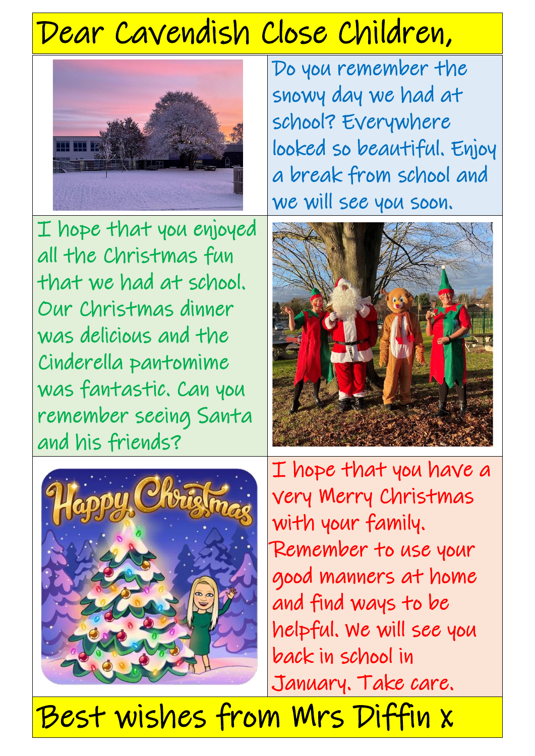# Dear Cavendish Close Children,



Do you remember the snowy day we had at school? Everywhere looked so beautiful. Enjoy a break from school and we will see you soon.

I hope that you enjoyed all the Christmas fun that we had at school. Our Christmas dinner was delicious and the Cinderella pantomime was fantastic. Can you remember seeing Santa and his friends?





I hope that you have a very Merry Christmas with your family. Remember to use your good manners at home and find ways to be helpful. We will see you back in school in January. Take care.

Best wishes from Mrs Diffin x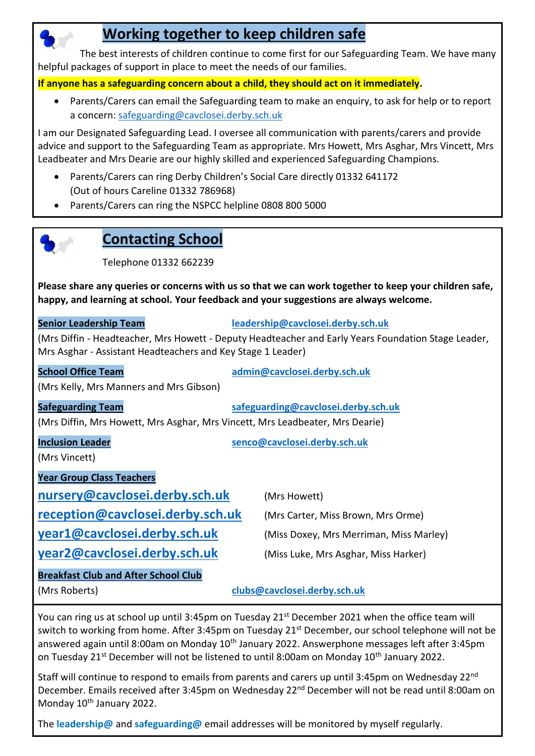## **Working together to keep children safe**

 The best interests of children continue to come first for our Safeguarding Team. We have many helpful packages of support in place to meet the needs of our families.

**If anyone has a safeguarding concern about a child, they should act on it immediately.**

• Parents/Carers can email the Safeguarding team to make an enquiry, to ask for help or to report a concern: [safeguarding@cavclosei.derby.sch.uk](mailto:safeguarding@cavclosei.derby.sch.uk)

I am our Designated Safeguarding Lead. I oversee all communication with parents/carers and provide advice and support to the Safeguarding Team as appropriate. Mrs Howett, Mrs Asghar, Mrs Vincett, Mrs Leadbeater and Mrs Dearie are our highly skilled and experienced Safeguarding Champions.

- Parents/Carers can ring Derby Children's Social Care directly 01332 641172 (Out of hours Careline 01332 786968)
- Parents/Carers can ring the NSPCC helpline 0808 800 5000



### **Contacting School**

Telephone 01332 662239

**Please share any queries or concerns with us so that we can work together to keep your children safe, happy, and learning at school. Your feedback and your suggestions are always welcome.**

**Senior Leadership Team [leadership@cavclosei.derby.sch.uk](mailto:leadership@cavclosei.derby.sch.uk)**

(Mrs Diffin - Headteacher, Mrs Howett - Deputy Headteacher and Early Years Foundation Stage Leader, Mrs Asghar - Assistant Headteachers and Key Stage 1 Leader)

| <b>School Office Team</b>                                                     | admin@cavclosei.derby.sch.uk            |
|-------------------------------------------------------------------------------|-----------------------------------------|
| (Mrs Kelly, Mrs Manners and Mrs Gibson)                                       |                                         |
| <b>Safeguarding Team</b>                                                      | safeguarding@cavclosei.derby.sch.uk     |
| (Mrs Diffin, Mrs Howett, Mrs Asghar, Mrs Vincett, Mrs Leadbeater, Mrs Dearie) |                                         |
| <b>Inclusion Leader</b><br>(Mrs Vincett)                                      | senco@cavclosei.derby.sch.uk            |
| <b>Year Group Class Teachers</b>                                              |                                         |
| nursery@cavclosei.derby.sch.uk                                                | (Mrs Howett)                            |
| reception@cavclosei.derby.sch.uk                                              | (Mrs Carter, Miss Brown, Mrs Orme)      |
| year1@cavclosei.derby.sch.uk                                                  | (Miss Doxey, Mrs Merriman, Miss Marley) |
| year2@cavclosei.derby.sch.uk                                                  | (Miss Luke, Mrs Asghar, Miss Harker)    |
| <b>Breakfast Club and After School Club</b>                                   |                                         |
| (Mrs Roberts)                                                                 | clubs@cavclosei.derby.sch.uk            |

You can ring us at school up until 3:45pm on Tuesday 21<sup>st</sup> December 2021 when the office team will switch to working from home. After 3:45pm on Tuesday 21<sup>st</sup> December, our school telephone will not be answered again until 8:00am on Monday 10<sup>th</sup> January 2022. Answerphone messages left after 3:45pm on Tuesday 21<sup>st</sup> December will not be listened to until 8:00am on Monday 10<sup>th</sup> January 2022.

Staff will continue to respond to emails from parents and carers up until 3:45pm on Wednesday 22nd December. Emails received after 3:45pm on Wednesday 22nd December will not be read until 8:00am on Monday 10<sup>th</sup> January 2022.

The **leadership@** and **safeguarding@** email addresses will be monitored by myself regularly.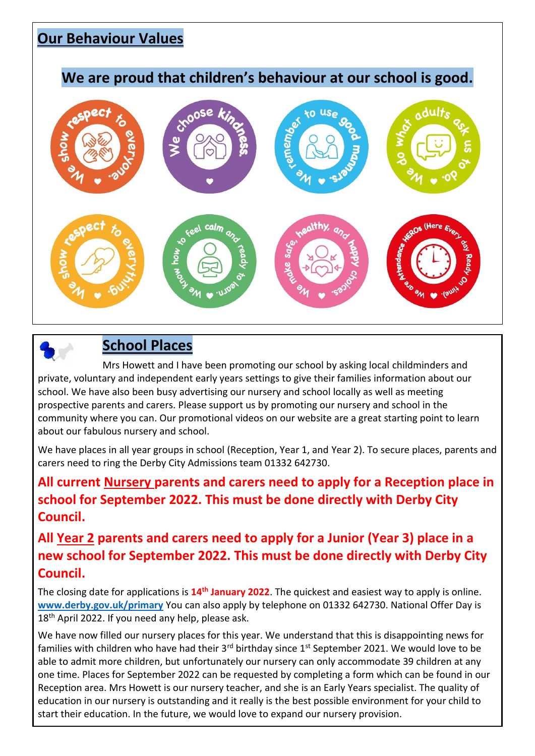### **Our Behaviour Values**

#### **We are proud that children's behaviour at our school is good.**



# **School Places**

 Mrs Howett and I have been promoting our school by asking local childminders and private, voluntary and independent early years settings to give their families information about our school. We have also been busy advertising our nursery and school locally as well as meeting prospective parents and carers. Please support us by promoting our nursery and school in the community where you can. Our promotional videos on our website are a great starting point to learn about our fabulous nursery and school.

We have places in all year groups in school (Reception, Year 1, and Year 2). To secure places, parents and carers need to ring the Derby City Admissions team 01332 642730.

### **All current Nursery parents and carers need to apply for a Reception place in school for September 2022. This must be done directly with Derby City Council.**

#### **All Year 2 parents and carers need to apply for a Junior (Year 3) place in a new school for September 2022. This must be done directly with Derby City Council.**

The closing date for applications is **14th January 2022**. The quickest and easiest way to apply is online. **[www.derby.gov.uk/primary](http://www.derby.gov.uk/primary)** You can also apply by telephone on 01332 642730. National Offer Day is 18<sup>th</sup> April 2022. If you need any help, please ask.

We have now filled our nursery places for this year. We understand that this is disappointing news for families with children who have had their 3<sup>rd</sup> birthday since 1<sup>st</sup> September 2021. We would love to be able to admit more children, but unfortunately our nursery can only accommodate 39 children at any one time. Places for September 2022 can be requested by completing a form which can be found in our Reception area. Mrs Howett is our nursery teacher, and she is an Early Years specialist. The quality of education in our nursery is outstanding and it really is the best possible environment for your child to start their education. In the future, we would love to expand our nursery provision.